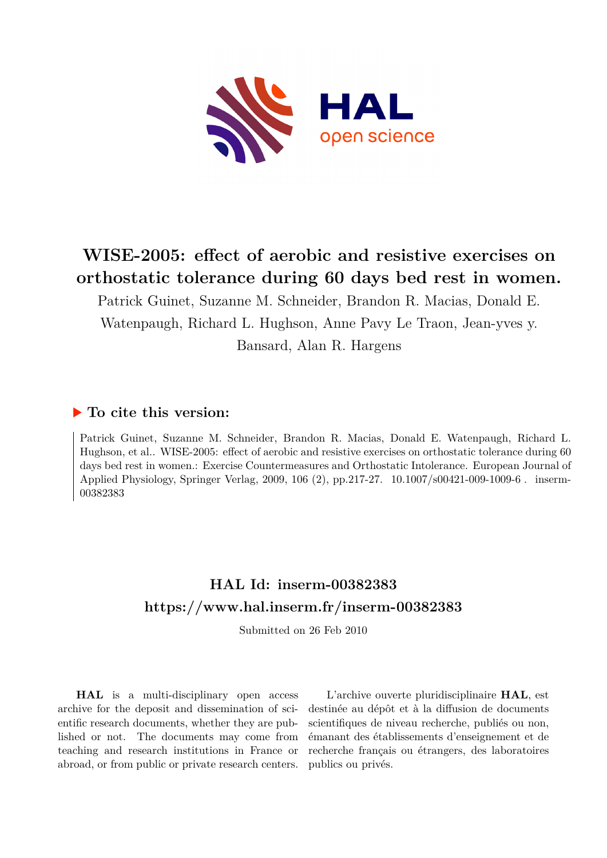

# **WISE-2005: effect of aerobic and resistive exercises on orthostatic tolerance during 60 days bed rest in women.**

Patrick Guinet, Suzanne M. Schneider, Brandon R. Macias, Donald E. Watenpaugh, Richard L. Hughson, Anne Pavy Le Traon, Jean-yves y.

Bansard, Alan R. Hargens

## **To cite this version:**

Patrick Guinet, Suzanne M. Schneider, Brandon R. Macias, Donald E. Watenpaugh, Richard L. Hughson, et al.. WISE-2005: effect of aerobic and resistive exercises on orthostatic tolerance during 60 days bed rest in women.: Exercise Countermeasures and Orthostatic Intolerance. European Journal of Applied Physiology, Springer Verlag, 2009, 106 (2), pp.217-27. 10.1007/s00421-009-1009-6. inserm-00382383ff

# **HAL Id: inserm-00382383 <https://www.hal.inserm.fr/inserm-00382383>**

Submitted on 26 Feb 2010

**HAL** is a multi-disciplinary open access archive for the deposit and dissemination of scientific research documents, whether they are published or not. The documents may come from teaching and research institutions in France or abroad, or from public or private research centers.

L'archive ouverte pluridisciplinaire **HAL**, est destinée au dépôt et à la diffusion de documents scientifiques de niveau recherche, publiés ou non, émanant des établissements d'enseignement et de recherche français ou étrangers, des laboratoires publics ou privés.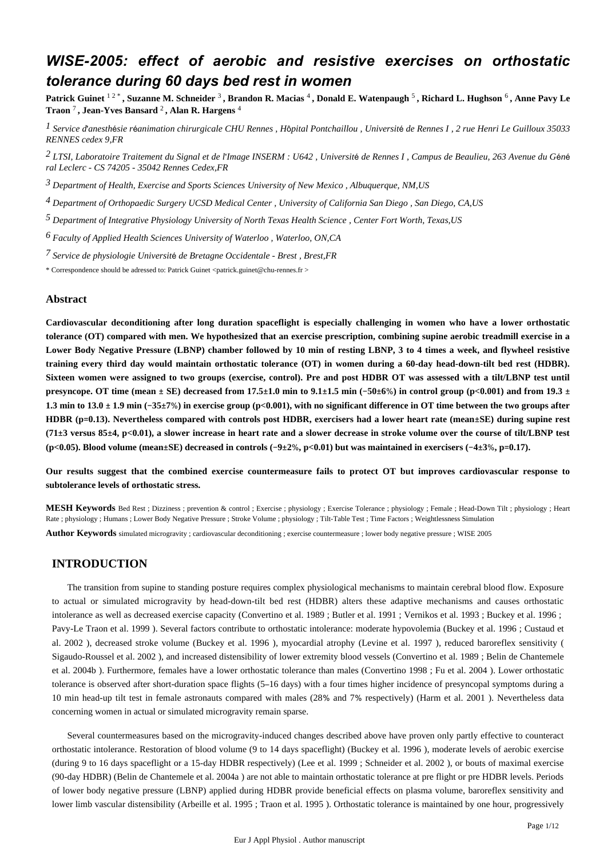## *WISE-2005: effect of aerobic and resistive exercises on orthostatic tolerance during 60 days bed rest in women*

**Patrick Guinet** 1 2 \* **, Suzanne M. Schneider** <sup>3</sup> **, Brandon R. Macias** <sup>4</sup> **, Donald E. Watenpaugh** <sup>5</sup> **, Richard L. Hughson** <sup>6</sup> **, Anne Pavy Le Traon** <sup>7</sup> **, Jean-Yves Bansard** <sup>2</sup> **, Alan R. Hargens** <sup>4</sup>

<sup>1</sup> Service d'anesthésie réanimation chirurgicale CHU Rennes, Hôpital Pontchaillou, Université de Rennes I, 2 rue Henri Le Guilloux 35033 *RENNES cedex 9,FR*

*LTSI, Laboratoire Traitement du Signal et de l Image 2*  ' *INSERM : U642 , Universit*é *de Rennes I , Campus de Beaulieu, 263 Avenue du G*é*n*é *ral Leclerc - CS 74205 - 35042 Rennes Cedex,FR*

*Department of Health, Exercise and Sports Sciences 3 University of New Mexico , Albuquerque, NM,US*

*Department of Orthopaedic Surgery 4 UCSD Medical Center , University of California San Diego , San Diego, CA,US*

<sup>5</sup> Department of Integrative Physiology University of North Texas Health Science, Center Fort Worth, Texas,US

*Faculty of Applied Health Sciences 6 University of Waterloo , Waterloo, ON,CA*

*Service de physiologie 7 Universit*é *de Bretagne Occidentale - Brest , Brest,FR*

\* Correspondence should be adressed to: Patrick Guinet <patrick.guinet@chu-rennes.fr >

#### **Abstract**

**Cardiovascular deconditioning after long duration spaceflight is especially challenging in women who have a lower orthostatic tolerance (OT) compared with men. We hypothesized that an exercise prescription, combining supine aerobic treadmill exercise in a Lower Body Negative Pressure (LBNP) chamber followed by 10 min of resting LBNP, 3 to 4 times a week, and flywheel resistive training every third day would maintain orthostatic tolerance (OT) in women during a 60-day head-down-tilt bed rest (HDBR). Sixteen women were assigned to two groups (exercise, control). Pre and post HDBR OT was assessed with a tilt/LBNP test until presyncope. OT time (mean** ± **SE) decreased from 17.5**±**1.0 min to 9.1**±**1.5 min (**−**50**±**6**%**) in control group (p<0.001) and from 19.3** ± **1.3 min to 13.0** ± **1.9 min (**−**35**±**7**%**) in exercise group (p<0.001), with no significant difference in OT time between the two groups after HDBR (p**=**0.13). Nevertheless compared with controls post HDBR, exercisers had a lower heart rate (mean**±**SE) during supine rest (71**±**3 versus 85**±**4, p<0.01), a slower increase in heart rate and a slower decrease in stroke volume over the course of tilt/LBNP test (p<0.05). Blood volume (mean**±**SE) decreased in controls (**−**9**±**2**%**, p<0.01) but was maintained in exercisers (**−**4**±**3**%**, p**=**0.17).**

**Our results suggest that the combined exercise countermeasure fails to protect OT but improves cardiovascular response to subtolerance levels of orthostatic stress.**

**MESH Keywords** Bed Rest ; Dizziness ; prevention & control ; Exercise ; physiology ; Exercise Tolerance ; physiology ; Female ; Head-Down Tilt ; physiology ; Heart Rate ; physiology ; Humans ; Lower Body Negative Pressure ; Stroke Volume ; physiology ; Tilt-Table Test ; Time Factors ; Weightlessness Simulation

**Author Keywords** simulated microgravity ; cardiovascular deconditioning ; exercise countermeasure ; lower body negative pressure ; WISE 2005

## **INTRODUCTION**

The transition from supine to standing posture requires complex physiological mechanisms to maintain cerebral blood flow. Exposure to actual or simulated microgravity by head-down-tilt bed rest (HDBR) alters these adaptive mechanisms and causes orthostatic intolerance as well as decreased exercise capacity (Convertino et al. 1989 ; Butler et al. 1991 ; Vernikos et al. 1993 ; Buckey et al. 1996 ; Pavy-Le Traon et al. 1999 ). Several factors contribute to orthostatic intolerance: moderate hypovolemia (Buckey et al. 1996 ; Custaud et al. 2002 ), decreased stroke volume (Buckey et al. 1996 ), myocardial atrophy (Levine et al. 1997 ), reduced baroreflex sensitivity ( Sigaudo-Roussel et al. 2002 ), and increased distensibility of lower extremity blood vessels (Convertino et al. 1989 ; Belin de Chantemele et al. 2004b ). Furthermore, females have a lower orthostatic tolerance than males (Convertino 1998 ; Fu et al. 2004 ). Lower orthostatic tolerance is observed after short-duration space flights (5–16 days) with a four times higher incidence of presyncopal symptoms during a 10 min head-up tilt test in female astronauts compared with males (28% and 7% respectively) (Harm et al. 2001 ). Nevertheless data concerning women in actual or simulated microgravity remain sparse.

Several countermeasures based on the microgravity-induced changes described above have proven only partly effective to counteract orthostatic intolerance. Restoration of blood volume (9 to 14 days spaceflight) (Buckey et al. 1996 ), moderate levels of aerobic exercise (during 9 to 16 days spaceflight or a 15-day HDBR respectively) (Lee et al. 1999 ; Schneider et al. 2002 ), or bouts of maximal exercise (90-day HDBR) (Belin de Chantemele et al. 2004a ) are not able to maintain orthostatic tolerance at pre flight or pre HDBR levels. Periods of lower body negative pressure (LBNP) applied during HDBR provide beneficial effects on plasma volume, baroreflex sensitivity and lower limb vascular distensibility (Arbeille et al. 1995 ; Traon et al. 1995 ). Orthostatic tolerance is maintained by one hour, progressively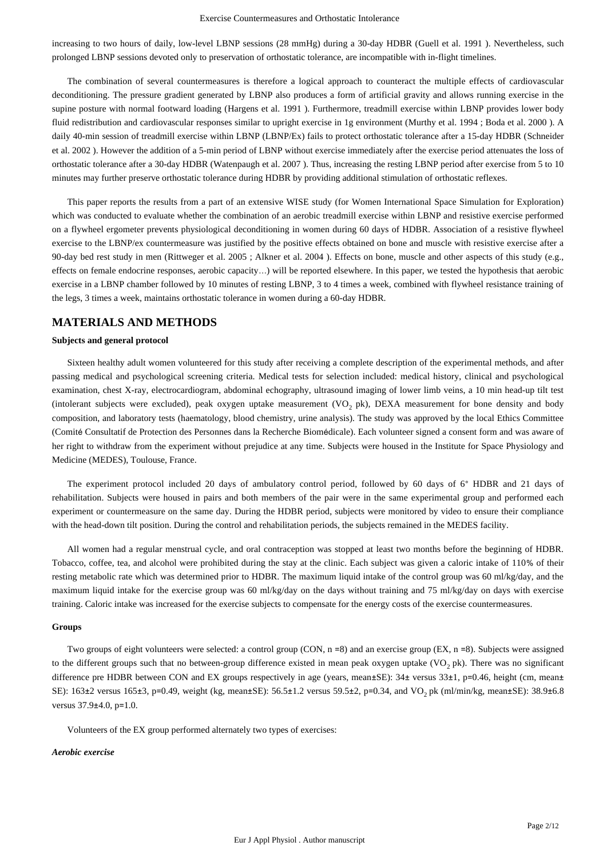increasing to two hours of daily, low-level LBNP sessions (28 mmHg) during a 30-day HDBR (Guell et al. 1991 ). Nevertheless, such prolonged LBNP sessions devoted only to preservation of orthostatic tolerance, are incompatible with in-flight timelines.

The combination of several countermeasures is therefore a logical approach to counteract the multiple effects of cardiovascular deconditioning. The pressure gradient generated by LBNP also produces a form of artificial gravity and allows running exercise in the supine posture with normal footward loading (Hargens et al. 1991 ). Furthermore, treadmill exercise within LBNP provides lower body fluid redistribution and cardiovascular responses similar to upright exercise in 1g environment (Murthy et al. 1994 ; Boda et al. 2000 ). A daily 40-min session of treadmill exercise within LBNP (LBNP/Ex) fails to protect orthostatic tolerance after a 15-day HDBR (Schneider et al. 2002 ). However the addition of a 5-min period of LBNP without exercise immediately after the exercise period attenuates the loss of orthostatic tolerance after a 30-day HDBR (Watenpaugh et al. 2007 ). Thus, increasing the resting LBNP period after exercise from 5 to 10 minutes may further preserve orthostatic tolerance during HDBR by providing additional stimulation of orthostatic reflexes.

This paper reports the results from a part of an extensive WISE study (for Women International Space Simulation for Exploration) which was conducted to evaluate whether the combination of an aerobic treadmill exercise within LBNP and resistive exercise performed on a flywheel ergometer prevents physiological deconditioning in women during 60 days of HDBR. Association of a resistive flywheel exercise to the LBNP/ex countermeasure was justified by the positive effects obtained on bone and muscle with resistive exercise after a 90-day bed rest study in men (Rittweger et al. 2005 ; Alkner et al. 2004 ). Effects on bone, muscle and other aspects of this study (e.g., effects on female endocrine responses, aerobic capacity…) will be reported elsewhere. In this paper, we tested the hypothesis that aerobic exercise in a LBNP chamber followed by 10 minutes of resting LBNP, 3 to 4 times a week, combined with flywheel resistance training of the legs, 3 times a week, maintains orthostatic tolerance in women during a 60-day HDBR.

## **MATERIALS AND METHODS**

## **Subjects and general protocol**

Sixteen healthy adult women volunteered for this study after receiving a complete description of the experimental methods, and after passing medical and psychological screening criteria. Medical tests for selection included: medical history, clinical and psychological examination, chest X-ray, electrocardiogram, abdominal echography, ultrasound imaging of lower limb veins, a 10 min head-up tilt test (intolerant subjects were excluded), peak oxygen uptake measurement (VO<sub>2</sub> pk), DEXA measurement for bone density and body composition, and laboratory tests (haematology, blood chemistry, urine analysis). The study was approved by the local Ethics Committee (Comité Consultatif de Protection des Personnes dans la Recherche Biomédicale). Each volunteer signed a consent form and was aware of her right to withdraw from the experiment without prejudice at any time. Subjects were housed in the Institute for Space Physiology and Medicine (MEDES), Toulouse, France.

The experiment protocol included 20 days of ambulatory control period, followed by 60 days of 6° HDBR and 21 days of rehabilitation. Subjects were housed in pairs and both members of the pair were in the same experimental group and performed each experiment or countermeasure on the same day. During the HDBR period, subjects were monitored by video to ensure their compliance with the head-down tilt position. During the control and rehabilitation periods, the subjects remained in the MEDES facility.

All women had a regular menstrual cycle, and oral contraception was stopped at least two months before the beginning of HDBR. Tobacco, coffee, tea, and alcohol were prohibited during the stay at the clinic. Each subject was given a caloric intake of 110% of their resting metabolic rate which was determined prior to HDBR. The maximum liquid intake of the control group was 60 ml/kg/day, and the maximum liquid intake for the exercise group was 60 ml/kg/day on the days without training and 75 ml/kg/day on days with exercise training. Caloric intake was increased for the exercise subjects to compensate for the energy costs of the exercise countermeasures.

#### **Groups**

Two groups of eight volunteers were selected: a control group (CON, n =8) and an exercise group (EX, n =8). Subjects were assigned to the different groups such that no between-group difference existed in mean peak oxygen uptake (VO<sub>2</sub> pk). There was no significant difference pre HDBR between CON and EX groups respectively in age (years, mean±SE): 34± versus 33±1, p=0.46, height (cm, mean± SE):  $163±2$  versus  $165±3$ ,  $p=0.49$ , weight (kg, mean $±SE$ ):  $56.5±1.2$  versus  $59.5±2$ ,  $p=0.34$ , and VO<sub>2</sub> pk (ml/min/kg, mean $±SE$ ):  $38.9±6.8$ versus 37.9±4.0, p=1.0.

Volunteers of the EX group performed alternately two types of exercises:

### *Aerobic exercise*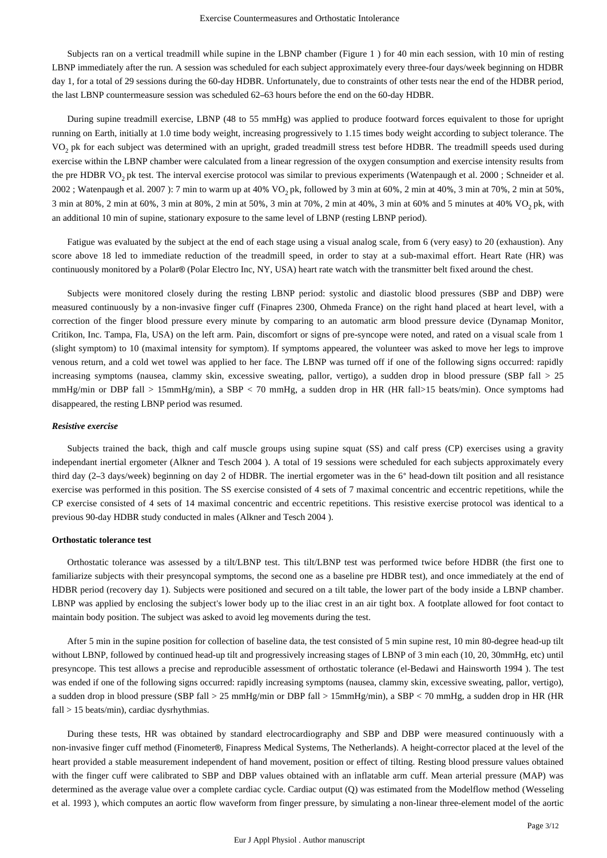Subjects ran on a vertical treadmill while supine in the LBNP chamber (Figure 1 ) for 40 min each session, with 10 min of resting LBNP immediately after the run. A session was scheduled for each subject approximately every three-four days/week beginning on HDBR day 1, for a total of 29 sessions during the 60-day HDBR. Unfortunately, due to constraints of other tests near the end of the HDBR period, the last LBNP countermeasure session was scheduled 62–63 hours before the end on the 60-day HDBR.

During supine treadmill exercise, LBNP (48 to 55 mmHg) was applied to produce footward forces equivalent to those for upright running on Earth, initially at 1.0 time body weight, increasing progressively to 1.15 times body weight according to subject tolerance. The VO<sub>2</sub> pk for each subject was determined with an upright, graded treadmill stress test before HDBR. The treadmill speeds used during exercise within the LBNP chamber were calculated from a linear regression of the oxygen consumption and exercise intensity results from the pre HDBR VO<sub>2</sub> pk test. The interval exercise protocol was similar to previous experiments (Watenpaugh et al. 2000; Schneider et al. 2002 ; Watenpaugh et al. 2007 ): 7 min to warm up at 40%  $VO_2$  pk, followed by 3 min at 60%, 2 min at 40%, 3 min at 70%, 2 min at 50%, 3 min at 80%, 2 min at 60%, 3 min at 80%, 2 min at 50%, 3 min at 70%, 2 min at 40%, 3 min at 60% and 5 minutes at 40% VO<sub>2</sub> pk, with an additional 10 min of supine, stationary exposure to the same level of LBNP (resting LBNP period).

Fatigue was evaluated by the subject at the end of each stage using a visual analog scale, from 6 (very easy) to 20 (exhaustion). Any score above 18 led to immediate reduction of the treadmill speed, in order to stay at a sub-maximal effort. Heart Rate (HR) was continuously monitored by a Polar® (Polar Electro Inc, NY, USA) heart rate watch with the transmitter belt fixed around the chest.

Subjects were monitored closely during the resting LBNP period: systolic and diastolic blood pressures (SBP and DBP) were measured continuously by a non-invasive finger cuff (Finapres 2300, Ohmeda France) on the right hand placed at heart level, with a correction of the finger blood pressure every minute by comparing to an automatic arm blood pressure device (Dynamap Monitor, Critikon, Inc. Tampa, Fla, USA) on the left arm. Pain, discomfort or signs of pre-syncope were noted, and rated on a visual scale from 1 (slight symptom) to 10 (maximal intensity for symptom). If symptoms appeared, the volunteer was asked to move her legs to improve venous return, and a cold wet towel was applied to her face. The LBNP was turned off if one of the following signs occurred: rapidly increasing symptoms (nausea, clammy skin, excessive sweating, pallor, vertigo), a sudden drop in blood pressure (SBP fall  $> 25$ mmHg/min or DBP fall > 15mmHg/min), a SBP < 70 mmHg, a sudden drop in HR (HR fall>15 beats/min). Once symptoms had disappeared, the resting LBNP period was resumed.

#### *Resistive exercise*

Subjects trained the back, thigh and calf muscle groups using supine squat (SS) and calf press (CP) exercises using a gravity independant inertial ergometer (Alkner and Tesch 2004 ). A total of 19 sessions were scheduled for each subjects approximately every third day (2–3 days/week) beginning on day 2 of HDBR. The inertial ergometer was in the 6° head-down tilt position and all resistance exercise was performed in this position. The SS exercise consisted of 4 sets of 7 maximal concentric and eccentric repetitions, while the CP exercise consisted of 4 sets of 14 maximal concentric and eccentric repetitions. This resistive exercise protocol was identical to a previous 90-day HDBR study conducted in males (Alkner and Tesch 2004 ).

#### **Orthostatic tolerance test**

Orthostatic tolerance was assessed by a tilt/LBNP test. This tilt/LBNP test was performed twice before HDBR (the first one to familiarize subjects with their presyncopal symptoms, the second one as a baseline pre HDBR test), and once immediately at the end of HDBR period (recovery day 1). Subjects were positioned and secured on a tilt table, the lower part of the body inside a LBNP chamber. LBNP was applied by enclosing the subject's lower body up to the iliac crest in an air tight box. A footplate allowed for foot contact to maintain body position. The subject was asked to avoid leg movements during the test.

After 5 min in the supine position for collection of baseline data, the test consisted of 5 min supine rest, 10 min 80-degree head-up tilt without LBNP, followed by continued head-up tilt and progressively increasing stages of LBNP of 3 min each (10, 20, 30mmHg, etc) until presyncope. This test allows a precise and reproducible assessment of orthostatic tolerance (el-Bedawi and Hainsworth 1994 ). The test was ended if one of the following signs occurred: rapidly increasing symptoms (nausea, clammy skin, excessive sweating, pallor, vertigo), a sudden drop in blood pressure (SBP fall > 25 mmHg/min or DBP fall > 15mmHg/min), a SBP < 70 mmHg, a sudden drop in HR (HR fall > 15 beats/min), cardiac dysrhythmias.

During these tests, HR was obtained by standard electrocardiography and SBP and DBP were measured continuously with a non-invasive finger cuff method (Finometer®, Finapress Medical Systems, The Netherlands). A height-corrector placed at the level of the heart provided a stable measurement independent of hand movement, position or effect of tilting. Resting blood pressure values obtained with the finger cuff were calibrated to SBP and DBP values obtained with an inflatable arm cuff. Mean arterial pressure (MAP) was determined as the average value over a complete cardiac cycle. Cardiac output (Q) was estimated from the Modelflow method (Wesseling et al. 1993 ), which computes an aortic flow waveform from finger pressure, by simulating a non-linear three-element model of the aortic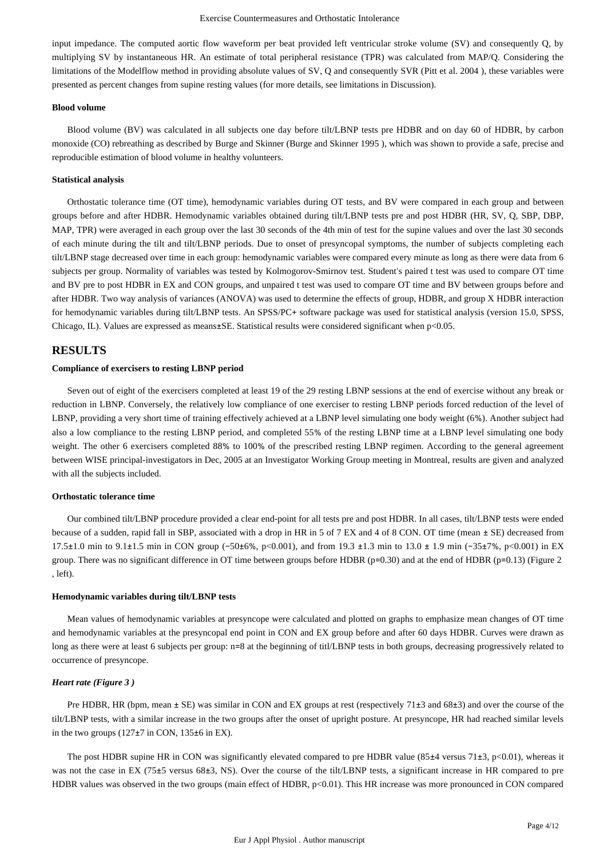input impedance. The computed aortic flow waveform per beat provided left ventricular stroke volume (SV) and consequently Q, by multiplying SV by instantaneous HR. An estimate of total peripheral resistance (TPR) was calculated from MAP/Q. Considering the limitations of the Modelflow method in providing absolute values of SV, Q and consequently SVR (Pitt et al. 2004 ), these variables were presented as percent changes from supine resting values (for more details, see limitations in Discussion).

#### **Blood volume**

Blood volume (BV) was calculated in all subjects one day before tilt/LBNP tests pre HDBR and on day 60 of HDBR, by carbon monoxide (CO) rebreathing as described by Burge and Skinner (Burge and Skinner 1995 ), which was shown to provide a safe, precise and reproducible estimation of blood volume in healthy volunteers.

#### **Statistical analysis**

Orthostatic tolerance time (OT time), hemodynamic variables during OT tests, and BV were compared in each group and between groups before and after HDBR. Hemodynamic variables obtained during tilt/LBNP tests pre and post HDBR (HR, SV, Q, SBP, DBP, MAP, TPR) were averaged in each group over the last 30 seconds of the 4th min of test for the supine values and over the last 30 seconds of each minute during the tilt and tilt/LBNP periods. Due to onset of presyncopal symptoms, the number of subjects completing each tilt/LBNP stage decreased over time in each group: hemodynamic variables were compared every minute as long as there were data from 6 subjects per group. Normality of variables was tested by Kolmogorov-Smirnov test. Student's paired t test was used to compare OT time and BV pre to post HDBR in EX and CON groups, and unpaired t test was used to compare OT time and BV between groups before and after HDBR. Two way analysis of variances (ANOVA) was used to determine the effects of group, HDBR, and group X HDBR interaction for hemodynamic variables during tilt/LBNP tests. An SPSS/PC+ software package was used for statistical analysis (version 15.0, SPSS, Chicago, IL). Values are expressed as means $\pm$ SE. Statistical results were considered significant when p<0.05.

## **RESULTS**

#### **Compliance of exercisers to resting LBNP period**

Seven out of eight of the exercisers completed at least 19 of the 29 resting LBNP sessions at the end of exercise without any break or reduction in LBNP. Conversely, the relatively low compliance of one exerciser to resting LBNP periods forced reduction of the level of LBNP, providing a very short time of training effectively achieved at a LBNP level simulating one body weight (6%). Another subject had also a low compliance to the resting LBNP period, and completed 55% of the resting LBNP time at a LBNP level simulating one body weight. The other 6 exercisers completed 88% to 100% of the prescribed resting LBNP regimen. According to the general agreement between WISE principal-investigators in Dec, 2005 at an Investigator Working Group meeting in Montreal, results are given and analyzed with all the subjects included.

#### **Orthostatic tolerance time**

Our combined tilt/LBNP procedure provided a clear end-point for all tests pre and post HDBR. In all cases, tilt/LBNP tests were ended because of a sudden, rapid fall in SBP, associated with a drop in HR in 5 of 7 EX and 4 of 8 CON. OT time (mean ± SE) decreased from 17.5±1.0 min to 9.1±1.5 min in CON group (−50±6%, p<0.001), and from 19.3 ±1.3 min to 13.0 ± 1.9 min (−35±7%, p<0.001) in EX group. There was no significant difference in OT time between groups before HDBR (p=0.30) and at the end of HDBR (p=0.13) (Figure 2 , left).

#### **Hemodynamic variables during tilt/LBNP tests**

Mean values of hemodynamic variables at presyncope were calculated and plotted on graphs to emphasize mean changes of OT time and hemodynamic variables at the presyncopal end point in CON and EX group before and after 60 days HDBR. Curves were drawn as long as there were at least 6 subjects per group: n=8 at the beginning of titl/LBNP tests in both groups, decreasing progressively related to occurrence of presyncope.

#### *Heart rate (Figure 3 )*

Pre HDBR, HR (bpm, mean ± SE) was similar in CON and EX groups at rest (respectively 71±3 and 68±3) and over the course of the tilt/LBNP tests, with a similar increase in the two groups after the onset of upright posture. At presyncope, HR had reached similar levels in the two groups (127±7 in CON, 135±6 in EX).

The post HDBR supine HR in CON was significantly elevated compared to pre HDBR value  $(85\pm4$  versus 71 $\pm3$ , p<0.01), whereas it was not the case in EX (75±5 versus 68±3, NS). Over the course of the tilt/LBNP tests, a significant increase in HR compared to pre HDBR values was observed in the two groups (main effect of HDBR, p<0.01). This HR increase was more pronounced in CON compared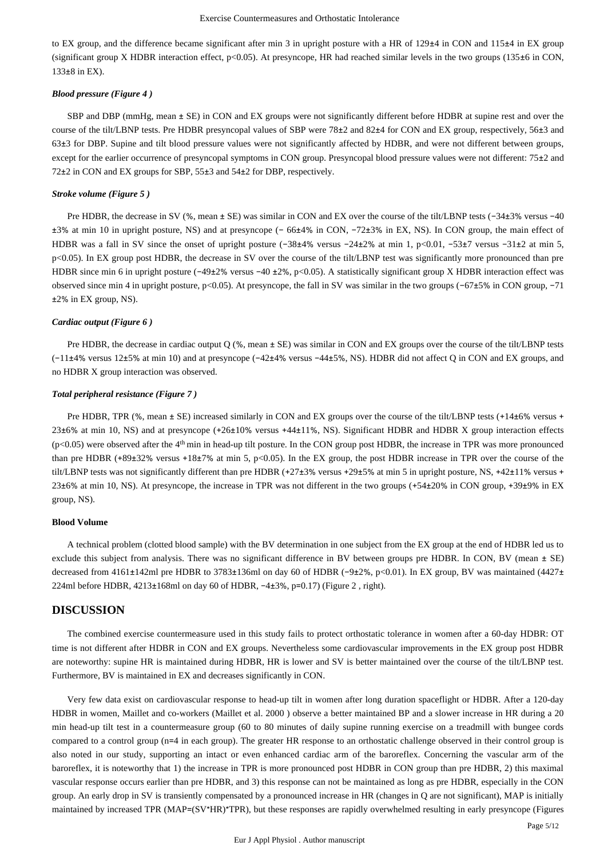to EX group, and the difference became significant after min 3 in upright posture with a HR of 129±4 in CON and 115±4 in EX group (significant group X HDBR interaction effect,  $p<0.05$ ). At presyncope, HR had reached similar levels in the two groups (135 $\pm$ 6 in CON, 133±8 in EX).

## *Blood pressure (Figure 4 )*

SBP and DBP (mmHg, mean ± SE) in CON and EX groups were not significantly different before HDBR at supine rest and over the course of the tilt/LBNP tests. Pre HDBR presyncopal values of SBP were 78±2 and 82±4 for CON and EX group, respectively, 56±3 and 63±3 for DBP. Supine and tilt blood pressure values were not significantly affected by HDBR, and were not different between groups, except for the earlier occurrence of presyncopal symptoms in CON group. Presyncopal blood pressure values were not different: 75 $\pm$ 2 and 72±2 in CON and EX groups for SBP, 55±3 and 54±2 for DBP, respectively.

### *Stroke volume (Figure 5 )*

Pre HDBR, the decrease in SV (%, mean ± SE) was similar in CON and EX over the course of the tilt/LBNP tests (−34±3% versus −40 ±3% at min 10 in upright posture, NS) and at presyncope (− 66±4% in CON, −72±3% in EX, NS). In CON group, the main effect of HDBR was a fall in SV since the onset of upright posture (−38±4% versus −24±2% at min 1, p<0.01, −53±7 versus −31±2 at min 5, p<0.05). In EX group post HDBR, the decrease in SV over the course of the tilt/LBNP test was significantly more pronounced than pre HDBR since min 6 in upright posture (−49±2% versus −40 ±2%, p<0.05). A statistically significant group X HDBR interaction effect was observed since min 4 in upright posture, p<0.05). At presyncope, the fall in SV was similar in the two groups (−67±5% in CON group, −71 ±2% in EX group, NS).

#### *Cardiac output (Figure 6 )*

Pre HDBR, the decrease in cardiac output Q (%, mean ± SE) was similar in CON and EX groups over the course of the tilt/LBNP tests (−11±4% versus 12±5% at min 10) and at presyncope (−42±4% versus −44±5%, NS). HDBR did not affect Q in CON and EX groups, and no HDBR X group interaction was observed.

### *Total peripheral resistance (Figure 7 )*

Pre HDBR, TPR (%, mean  $\pm$  SE) increased similarly in CON and EX groups over the course of the tilt/LBNP tests (+14 $\pm$ 6% versus +  $23\pm6\%$  at min 10, NS) and at presyncope (+26 $\pm10\%$  versus +44 $\pm11\%$ , NS). Significant HDBR and HDBR X group interaction effects  $(p<0.05)$  were observed after the  $4<sup>th</sup>$  min in head-up tilt posture. In the CON group post HDBR, the increase in TPR was more pronounced than pre HDBR (+89±32% versus +18±7% at min 5, p<0.05). In the EX group, the post HDBR increase in TPR over the course of the tilt/LBNP tests was not significantly different than pre HDBR (+27±3% versus +29±5% at min 5 in upright posture, NS, +42±11% versus + 23±6% at min 10, NS). At presyncope, the increase in TPR was not different in the two groups (+54±20% in CON group, +39±9% in EX group, NS).

### **Blood Volume**

A technical problem (clotted blood sample) with the BV determination in one subject from the EX group at the end of HDBR led us to exclude this subject from analysis. There was no significant difference in BV between groups pre HDBR. In CON, BV (mean ± SE) decreased from 4161±142ml pre HDBR to 3783±136ml on day 60 of HDBR (−9±2%, p<0.01). In EX group, BV was maintained (4427± 224ml before HDBR, 4213±168ml on day 60 of HDBR, −4±3%, p=0.17) (Figure 2 , right).

## **DISCUSSION**

The combined exercise countermeasure used in this study fails to protect orthostatic tolerance in women after a 60-day HDBR: OT time is not different after HDBR in CON and EX groups. Nevertheless some cardiovascular improvements in the EX group post HDBR are noteworthy: supine HR is maintained during HDBR, HR is lower and SV is better maintained over the course of the tilt/LBNP test. Furthermore, BV is maintained in EX and decreases significantly in CON.

Very few data exist on cardiovascular response to head-up tilt in women after long duration spaceflight or HDBR. After a 120-day HDBR in women, Maillet and co-workers (Maillet et al. 2000 ) observe a better maintained BP and a slower increase in HR during a 20 min head-up tilt test in a countermeasure group (60 to 80 minutes of daily supine running exercise on a treadmill with bungee cords compared to a control group (n=4 in each group). The greater HR response to an orthostatic challenge observed in their control group is also noted in our study, supporting an intact or even enhanced cardiac arm of the baroreflex. Concerning the vascular arm of the baroreflex, it is noteworthy that 1) the increase in TPR is more pronounced post HDBR in CON group than pre HDBR, 2) this maximal vascular response occurs earlier than pre HDBR, and 3) this response can not be maintained as long as pre HDBR, especially in the CON group. An early drop in SV is transiently compensated by a pronounced increase in HR (changes in Q are not significant), MAP is initially maintained by increased TPR (MAP=(SV\*HR)\*TPR), but these responses are rapidly overwhelmed resulting in early presyncope (Figures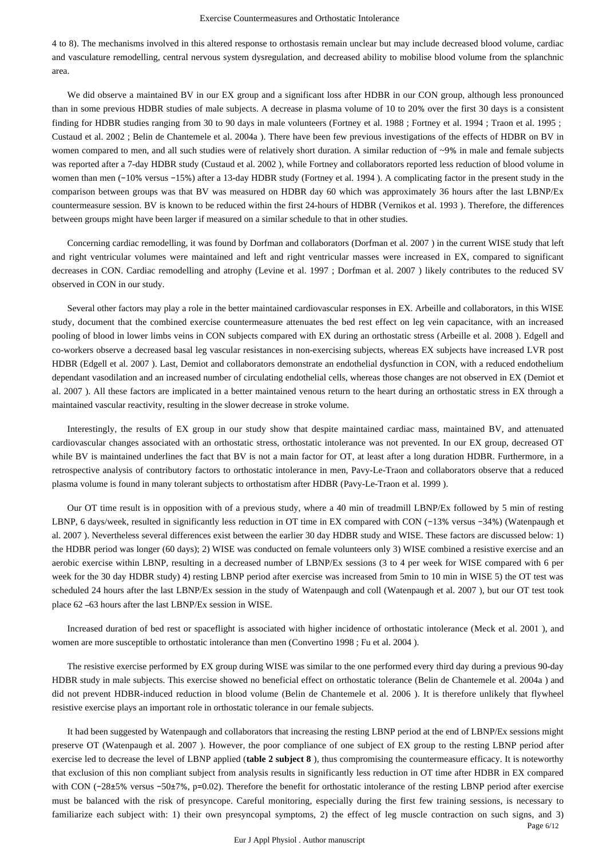4 to 8). The mechanisms involved in this altered response to orthostasis remain unclear but may include decreased blood volume, cardiac and vasculature remodelling, central nervous system dysregulation, and decreased ability to mobilise blood volume from the splanchnic area.

We did observe a maintained BV in our EX group and a significant loss after HDBR in our CON group, although less pronounced than in some previous HDBR studies of male subjects. A decrease in plasma volume of 10 to 20% over the first 30 days is a consistent finding for HDBR studies ranging from 30 to 90 days in male volunteers (Fortney et al. 1988 ; Fortney et al. 1994 ; Traon et al. 1995 ; Custaud et al. 2002 ; Belin de Chantemele et al. 2004a ). There have been few previous investigations of the effects of HDBR on BV in women compared to men, and all such studies were of relatively short duration. A similar reduction of ~9% in male and female subjects was reported after a 7-day HDBR study (Custaud et al. 2002 ), while Fortney and collaborators reported less reduction of blood volume in women than men (−10% versus −15%) after a 13-day HDBR study (Fortney et al. 1994 ). A complicating factor in the present study in the comparison between groups was that BV was measured on HDBR day 60 which was approximately 36 hours after the last LBNP/Ex countermeasure session. BV is known to be reduced within the first 24-hours of HDBR (Vernikos et al. 1993 ). Therefore, the differences between groups might have been larger if measured on a similar schedule to that in other studies.

Concerning cardiac remodelling, it was found by Dorfman and collaborators (Dorfman et al. 2007 ) in the current WISE study that left and right ventricular volumes were maintained and left and right ventricular masses were increased in EX, compared to significant decreases in CON. Cardiac remodelling and atrophy (Levine et al. 1997 ; Dorfman et al. 2007 ) likely contributes to the reduced SV observed in CON in our study.

Several other factors may play a role in the better maintained cardiovascular responses in EX. Arbeille and collaborators, in this WISE study, document that the combined exercise countermeasure attenuates the bed rest effect on leg vein capacitance, with an increased pooling of blood in lower limbs veins in CON subjects compared with EX during an orthostatic stress (Arbeille et al. 2008 ). Edgell and co-workers observe a decreased basal leg vascular resistances in non-exercising subjects, whereas EX subjects have increased LVR post HDBR (Edgell et al. 2007 ). Last, Demiot and collaborators demonstrate an endothelial dysfunction in CON, with a reduced endothelium dependant vasodilation and an increased number of circulating endothelial cells, whereas those changes are not observed in EX (Demiot et al. 2007 ). All these factors are implicated in a better maintained venous return to the heart during an orthostatic stress in EX through a maintained vascular reactivity, resulting in the slower decrease in stroke volume.

Interestingly, the results of EX group in our study show that despite maintained cardiac mass, maintained BV, and attenuated cardiovascular changes associated with an orthostatic stress, orthostatic intolerance was not prevented. In our EX group, decreased OT while BV is maintained underlines the fact that BV is not a main factor for OT, at least after a long duration HDBR. Furthermore, in a retrospective analysis of contributory factors to orthostatic intolerance in men, Pavy-Le-Traon and collaborators observe that a reduced plasma volume is found in many tolerant subjects to orthostatism after HDBR (Pavy-Le-Traon et al. 1999 ).

Our OT time result is in opposition with of a previous study, where a 40 min of treadmill LBNP/Ex followed by 5 min of resting LBNP, 6 days/week, resulted in significantly less reduction in OT time in EX compared with CON (−13% versus −34%) (Watenpaugh et al. 2007 ). Nevertheless several differences exist between the earlier 30 day HDBR study and WISE. These factors are discussed below: 1) the HDBR period was longer (60 days); 2) WISE was conducted on female volunteers only 3) WISE combined a resistive exercise and an aerobic exercise within LBNP, resulting in a decreased number of LBNP/Ex sessions (3 to 4 per week for WISE compared with 6 per week for the 30 day HDBR study) 4) resting LBNP period after exercise was increased from 5min to 10 min in WISE 5) the OT test was scheduled 24 hours after the last LBNP/Ex session in the study of Watenpaugh and coll (Watenpaugh et al. 2007 ), but our OT test took place 62 –63 hours after the last LBNP/Ex session in WISE.

Increased duration of bed rest or spaceflight is associated with higher incidence of orthostatic intolerance (Meck et al. 2001 ), and women are more susceptible to orthostatic intolerance than men (Convertino 1998 ; Fu et al. 2004 ).

The resistive exercise performed by EX group during WISE was similar to the one performed every third day during a previous 90-day HDBR study in male subjects. This exercise showed no beneficial effect on orthostatic tolerance (Belin de Chantemele et al. 2004a ) and did not prevent HDBR-induced reduction in blood volume (Belin de Chantemele et al. 2006 ). It is therefore unlikely that flywheel resistive exercise plays an important role in orthostatic tolerance in our female subjects.

Page 6/12 It had been suggested by Watenpaugh and collaborators that increasing the resting LBNP period at the end of LBNP/Ex sessions might preserve OT (Watenpaugh et al. 2007 ). However, the poor compliance of one subject of EX group to the resting LBNP period after exercise led to decrease the level of LBNP applied (**table 2 subject 8** ), thus compromising the countermeasure efficacy. It is noteworthy that exclusion of this non compliant subject from analysis results in significantly less reduction in OT time after HDBR in EX compared with CON (−28±5% versus −50±7%, p=0.02). Therefore the benefit for orthostatic intolerance of the resting LBNP period after exercise must be balanced with the risk of presyncope. Careful monitoring, especially during the first few training sessions, is necessary to familiarize each subject with: 1) their own presyncopal symptoms, 2) the effect of leg muscle contraction on such signs, and 3)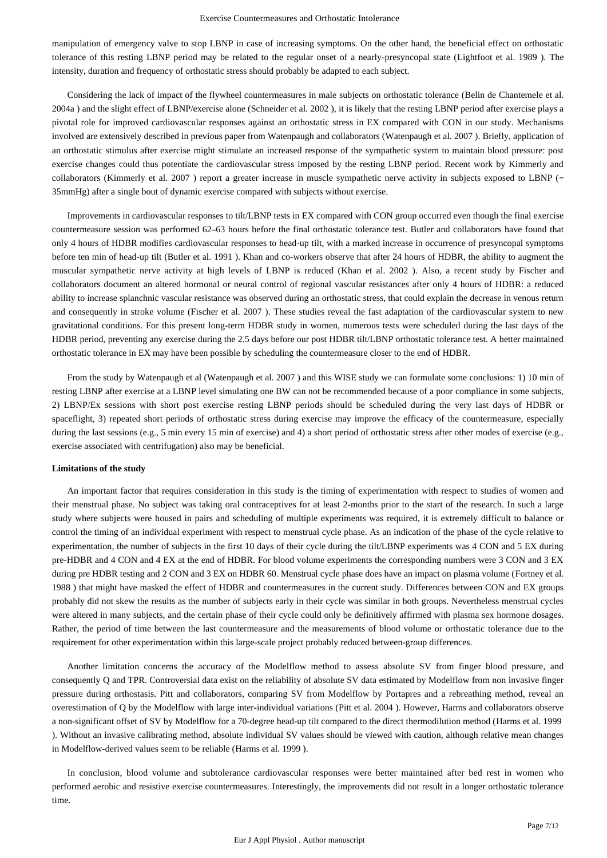manipulation of emergency valve to stop LBNP in case of increasing symptoms. On the other hand, the beneficial effect on orthostatic tolerance of this resting LBNP period may be related to the regular onset of a nearly-presyncopal state (Lightfoot et al. 1989 ). The intensity, duration and frequency of orthostatic stress should probably be adapted to each subject.

Considering the lack of impact of the flywheel countermeasures in male subjects on orthostatic tolerance (Belin de Chantemele et al. 2004a ) and the slight effect of LBNP/exercise alone (Schneider et al. 2002 ), it is likely that the resting LBNP period after exercise plays a pivotal role for improved cardiovascular responses against an orthostatic stress in EX compared with CON in our study. Mechanisms involved are extensively described in previous paper from Watenpaugh and collaborators (Watenpaugh et al. 2007 ). Briefly, application of an orthostatic stimulus after exercise might stimulate an increased response of the sympathetic system to maintain blood pressure: post exercise changes could thus potentiate the cardiovascular stress imposed by the resting LBNP period. Recent work by Kimmerly and collaborators (Kimmerly et al. 2007 ) report a greater increase in muscle sympathetic nerve activity in subjects exposed to LBNP (− 35mmHg) after a single bout of dynamic exercise compared with subjects without exercise.

Improvements in cardiovascular responses to tilt/LBNP tests in EX compared with CON group occurred even though the final exercise countermeasure session was performed 62–63 hours before the final orthostatic tolerance test. Butler and collaborators have found that only 4 hours of HDBR modifies cardiovascular responses to head-up tilt, with a marked increase in occurrence of presyncopal symptoms before ten min of head-up tilt (Butler et al. 1991 ). Khan and co-workers observe that after 24 hours of HDBR, the ability to augment the muscular sympathetic nerve activity at high levels of LBNP is reduced (Khan et al. 2002 ). Also, a recent study by Fischer and collaborators document an altered hormonal or neural control of regional vascular resistances after only 4 hours of HDBR: a reduced ability to increase splanchnic vascular resistance was observed during an orthostatic stress, that could explain the decrease in venous return and consequently in stroke volume (Fischer et al. 2007 ). These studies reveal the fast adaptation of the cardiovascular system to new gravitational conditions. For this present long-term HDBR study in women, numerous tests were scheduled during the last days of the HDBR period, preventing any exercise during the 2.5 days before our post HDBR tilt/LBNP orthostatic tolerance test. A better maintained orthostatic tolerance in EX may have been possible by scheduling the countermeasure closer to the end of HDBR.

From the study by Watenpaugh et al (Watenpaugh et al. 2007 ) and this WISE study we can formulate some conclusions: 1) 10 min of resting LBNP after exercise at a LBNP level simulating one BW can not be recommended because of a poor compliance in some subjects, 2) LBNP/Ex sessions with short post exercise resting LBNP periods should be scheduled during the very last days of HDBR or spaceflight, 3) repeated short periods of orthostatic stress during exercise may improve the efficacy of the countermeasure, especially during the last sessions (e.g., 5 min every 15 min of exercise) and 4) a short period of orthostatic stress after other modes of exercise (e.g., exercise associated with centrifugation) also may be beneficial.

#### **Limitations of the study**

An important factor that requires consideration in this study is the timing of experimentation with respect to studies of women and their menstrual phase. No subject was taking oral contraceptives for at least 2-months prior to the start of the research. In such a large study where subjects were housed in pairs and scheduling of multiple experiments was required, it is extremely difficult to balance or control the timing of an individual experiment with respect to menstrual cycle phase. As an indication of the phase of the cycle relative to experimentation, the number of subjects in the first 10 days of their cycle during the tilt/LBNP experiments was 4 CON and 5 EX during pre-HDBR and 4 CON and 4 EX at the end of HDBR. For blood volume experiments the corresponding numbers were 3 CON and 3 EX during pre HDBR testing and 2 CON and 3 EX on HDBR 60. Menstrual cycle phase does have an impact on plasma volume (Fortney et al. 1988 ) that might have masked the effect of HDBR and countermeasures in the current study. Differences between CON and EX groups probably did not skew the results as the number of subjects early in their cycle was similar in both groups. Nevertheless menstrual cycles were altered in many subjects, and the certain phase of their cycle could only be definitively affirmed with plasma sex hormone dosages. Rather, the period of time between the last countermeasure and the measurements of blood volume or orthostatic tolerance due to the requirement for other experimentation within this large-scale project probably reduced between-group differences.

Another limitation concerns the accuracy of the Modelflow method to assess absolute SV from finger blood pressure, and consequently Q and TPR. Controversial data exist on the reliability of absolute SV data estimated by Modelflow from non invasive finger pressure during orthostasis. Pitt and collaborators, comparing SV from Modelflow by Portapres and a rebreathing method, reveal an overestimation of Q by the Modelflow with large inter-individual variations (Pitt et al. 2004 ). However, Harms and collaborators observe a non-significant offset of SV by Modelflow for a 70-degree head-up tilt compared to the direct thermodilution method (Harms et al. 1999 ). Without an invasive calibrating method, absolute individual SV values should be viewed with caution, although relative mean changes in Modelflow-derived values seem to be reliable (Harms et al. 1999 ).

In conclusion, blood volume and subtolerance cardiovascular responses were better maintained after bed rest in women who performed aerobic and resistive exercise countermeasures. Interestingly, the improvements did not result in a longer orthostatic tolerance time.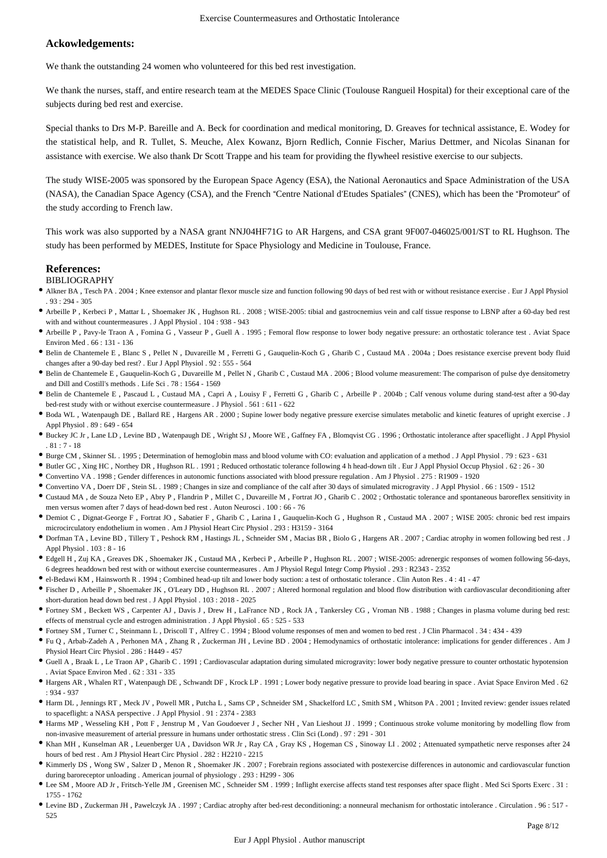## **Ackowledgements:**

We thank the outstanding 24 women who volunteered for this bed rest investigation.

We thank the nurses, staff, and entire research team at the MEDES Space Clinic (Toulouse Rangueil Hospital) for their exceptional care of the subjects during bed rest and exercise.

Special thanks to Drs M-P. Bareille and A. Beck for coordination and medical monitoring, D. Greaves for technical assistance, E. Wodey for the statistical help, and R. Tullet, S. Meuche, Alex Kowanz, Bjorn Redlich, Connie Fischer, Marius Dettmer, and Nicolas Sinanan for assistance with exercise. We also thank Dr Scott Trappe and his team for providing the flywheel resistive exercise to our subjects.

The study WISE-2005 was sponsored by the European Space Agency (ESA), the National Aeronautics and Space Administration of the USA (NASA), the Canadian Space Agency (CSA), and the French "Centre National d'Etudes Spatiales" (CNES), which has been the "Promoteur" of the study according to French law.

This work was also supported by a NASA grant NNJ04HF71G to AR Hargens, and CSA grant 9F007-046025/001/ST to RL Hughson. The study has been performed by MEDES, Institute for Space Physiology and Medicine in Toulouse, France.

## **References:**

#### BIBLIOGRAPHY

- Alkner BA , Tesch PA . 2004 ; Knee extensor and plantar flexor muscle size and function following 90 days of bed rest with or without resistance exercise . Eur J Appl Physiol  $93 \cdot 294 = 305$
- Arbeille P , Kerbeci P , Mattar L , Shoemaker JK , Hughson RL . 2008 ; WISE-2005: tibial and gastrocnemius vein and calf tissue response to LBNP after a 60-day bed rest with and without countermeasures . J Appl Physiol . 104 : 938 - 943
- Arbeille P , Pavy-le Traon A , Fomina G , Vasseur P , Guell A . 1995 ; Femoral flow response to lower body negative pressure: an orthostatic tolerance test . Aviat Space Environ Med . 66 : 131 - 136
- Belin de Chantemele E , Blanc S , Pellet N , Duvareille M , Ferretti G , Gauquelin-Koch G , Gharib C , Custaud MA . 2004a ; Does resistance exercise prevent body fluid changes after a 90-day bed rest? . Eur J Appl Physiol . 92 : 555 - 564
- Belin de Chantemele E , Gauquelin-Koch G , Duvareille M , Pellet N , Gharib C , Custaud MA . 2006 ; Blood volume measurement: The comparison of pulse dye densitometry and Dill and Costill's methods . Life Sci . 78 : 1564 - 1569
- Belin de Chantemele E , Pascaud L , Custaud MA , Capri A , Louisy F , Ferretti G , Gharib C , Arbeille P . 2004b ; Calf venous volume during stand-test after a 90-day bed-rest study with or without exercise countermeasure . J Physiol . 561 : 611 - 622
- Boda WL , Watenpaugh DE , Ballard RE , Hargens AR . 2000 ; Supine lower body negative pressure exercise simulates metabolic and kinetic features of upright exercise . J Appl Physiol . 89 : 649 - 654
- Buckey JC Jr , Lane LD , Levine BD , Watenpaugh DE , Wright SJ , Moore WE , Gaffney FA , Blomqvist CG . 1996 ; Orthostatic intolerance after spaceflight . J Appl Physiol . 81 : 7 - 18
- Burge CM , Skinner SL . 1995 ; Determination of hemoglobin mass and blood volume with CO: evaluation and application of a method . J Appl Physiol . 79 : 623 631
- Butler GC , Xing HC , Northey DR , Hughson RL . 1991 ; Reduced orthostatic tolerance following 4 h head-down tilt . Eur J Appl Physiol Occup Physiol . 62 : 26 30
- Convertino VA . 1998 ; Gender differences in autonomic functions associated with blood pressure regulation . Am J Physiol . 275 : R1909 1920
- Convertino VA , Doerr DF , Stein SL . 1989 ; Changes in size and compliance of the calf after 30 days of simulated microgravity . J Appl Physiol . 66 : 1509 1512
- Custaud MA , de Souza Neto EP , Abry P , Flandrin P , Millet C , Duvareille M , Fortrat JO , Gharib C . 2002 ; Orthostatic tolerance and spontaneous baroreflex sensitivity in men versus women after 7 days of head-down bed rest . Auton Neurosci . 100 : 66 - 76
- Demiot C , Dignat-George F , Fortrat JO , Sabatier F , Gharib C , Larina I , Gauquelin-Koch G , Hughson R , Custaud MA . 2007 ; WISE 2005: chronic bed rest impairs microcirculatory endothelium in women . Am J Physiol Heart Circ Physiol . 293 : H3159 - 3164
- Dorfman TA , Levine BD , Tillery T , Peshock RM , Hastings JL , Schneider SM , Macias BR , Biolo G , Hargens AR . 2007 ; Cardiac atrophy in women following bed rest . J Appl Physiol . 103 : 8 - 16
- Edgell H , Zuj KA , Greaves DK , Shoemaker JK , Custaud MA , Kerbeci P , Arbeille P , Hughson RL . 2007 ; WISE-2005: adrenergic responses of women following 56-days, 6 degrees headdown bed rest with or without exercise countermeasures . Am J Physiol Regul Integr Comp Physiol . 293 : R2343 - 2352
- el-Bedawi KM , Hainsworth R . 1994 ; Combined head-up tilt and lower body suction: a test of orthostatic tolerance . Clin Auton Res . 4 : 41 47
- Fischer D , Arbeille P , Shoemaker JK , O'Leary DD , Hughson RL . 2007 ; Altered hormonal regulation and blood flow distribution with cardiovascular deconditioning after short-duration head down bed rest . J Appl Physiol . 103 : 2018 - 2025
- Fortney SM , Beckett WS , Carpenter AJ , Davis J , Drew H , LaFrance ND , Rock JA , Tankersley CG , Vroman NB . 1988 ; Changes in plasma volume during bed rest: effects of menstrual cycle and estrogen administration . J Appl Physiol . 65 : 525 - 533
- Fortney SM , Turner C , Steinmann L , Driscoll T , Alfrey C . 1994 ; Blood volume responses of men and women to bed rest . J Clin Pharmacol . 34 : 434 439
- Fu Q , Arbab-Zadeh A , Perhonen MA , Zhang R , Zuckerman JH , Levine BD . 2004 ; Hemodynamics of orthostatic intolerance: implications for gender differences . Am J Physiol Heart Circ Physiol . 286 : H449 - 457
- Guell A , Braak L , Le Traon AP , Gharib C . 1991 ; Cardiovascular adaptation during simulated microgravity: lower body negative pressure to counter orthostatic hypotension . Aviat Space Environ Med . 62 : 331 - 335
- Hargens AR , Whalen RT , Watenpaugh DE , Schwandt DF , Krock LP . 1991 ; Lower body negative pressure to provide load bearing in space . Aviat Space Environ Med . 62 : 934 - 937
- Harm DL , Jennings RT , Meck JV , Powell MR , Putcha L , Sams CP , Schneider SM , Shackelford LC , Smith SM , Whitson PA . 2001 ; Invited review: gender issues related to spaceflight: a NASA perspective . J Appl Physiol . 91 : 2374 - 2383
- Harms MP , Wesseling KH , Pott F , Jenstrup M , Van Goudoever J , Secher NH , Van Lieshout JJ . 1999 ; Continuous stroke volume monitoring by modelling flow from non-invasive measurement of arterial pressure in humans under orthostatic stress . Clin Sci (Lond) . 97 : 291 - 301
- Khan MH , Kunselman AR , Leuenberger UA , Davidson WR Jr , Ray CA , Gray KS , Hogeman CS , Sinoway LI . 2002 ; Attenuated sympathetic nerve responses after 24 hours of bed rest . Am J Physiol Heart Circ Physiol . 282 : H2210 - 2215
- Kimmerly DS , Wong SW , Salzer D , Menon R , Shoemaker JK . 2007 ; Forebrain regions associated with postexercise differences in autonomic and cardiovascular function during baroreceptor unloading . American journal of physiology . 293 : H299 - 306
- Lee SM , Moore AD Jr , Fritsch-Yelle JM , Greenisen MC , Schneider SM . 1999 ; Inflight exercise affects stand test responses after space flight . Med Sci Sports Exerc . 31 : 1755 - 1762
- Levine BD , Zuckerman JH , Pawelczyk JA . 1997 ; Cardiac atrophy after bed-rest deconditioning: a nonneural mechanism for orthostatic intolerance . Circulation . 96 : 517 525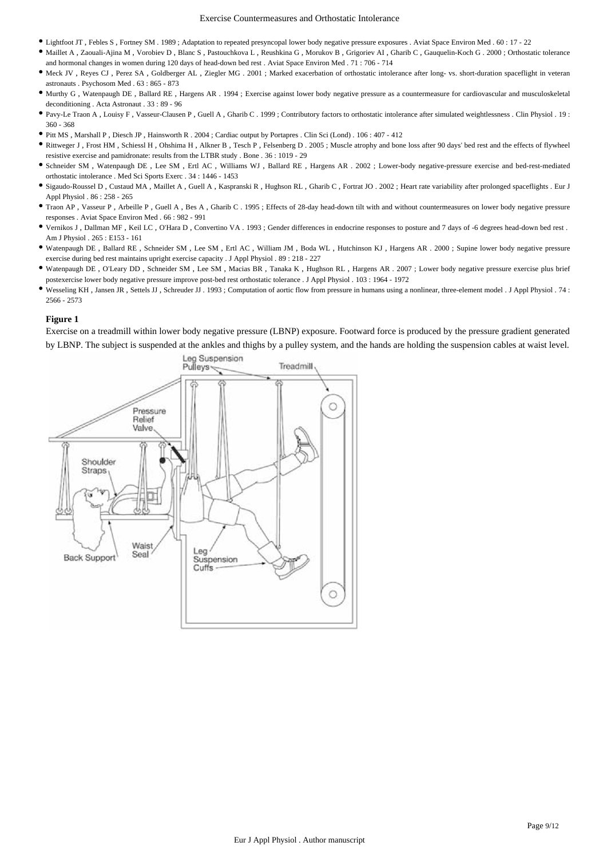- Lightfoot JT , Febles S , Fortney SM . 1989 ; Adaptation to repeated presyncopal lower body negative pressure exposures . Aviat Space Environ Med . 60 : 17 22
- Maillet A , Zaouali-Ajina M , Vorobiev D , Blanc S , Pastouchkova L , Reushkina G , Morukov B , Grigoriev AI , Gharib C , Gauquelin-Koch G . 2000 ; Orthostatic tolerance and hormonal changes in women during 120 days of head-down bed rest . Aviat Space Environ Med . 71 : 706 - 714
- Meck JV , Reyes CJ , Perez SA , Goldberger AL , Ziegler MG . 2001 ; Marked exacerbation of orthostatic intolerance after long- vs. short-duration spaceflight in veteran astronauts . Psychosom Med . 63 : 865 - 873
- Murthy G , Watenpaugh DE , Ballard RE , Hargens AR . 1994 ; Exercise against lower body negative pressure as a countermeasure for cardiovascular and musculoskeletal deconditioning . Acta Astronaut . 33 : 89 - 96
- Pavy-Le Traon A , Louisy F , Vasseur-Clausen P , Guell A , Gharib C . 1999 ; Contributory factors to orthostatic intolerance after simulated weightlessness . Clin Physiol . 19 : 360 - 368
- Pitt MS , Marshall P , Diesch JP , Hainsworth R . 2004 ; Cardiac output by Portapres . Clin Sci (Lond) . 106 : 407 412
- Rittweger J , Frost HM , Schiessl H , Ohshima H , Alkner B , Tesch P , Felsenberg D . 2005 ; Muscle atrophy and bone loss after 90 days' bed rest and the effects of flywheel resistive exercise and pamidronate: results from the LTBR study . Bone . 36 : 1019 - 29
- Schneider SM , Watenpaugh DE , Lee SM , Ertl AC , Williams WJ , Ballard RE , Hargens AR . 2002 ; Lower-body negative-pressure exercise and bed-rest-mediated orthostatic intolerance . Med Sci Sports Exerc . 34 : 1446 - 1453
- Sigaudo-Roussel D , Custaud MA , Maillet A , Guell A , Kaspranski R , Hughson RL , Gharib C , Fortrat JO . 2002 ; Heart rate variability after prolonged spaceflights . Eur J Appl Physiol . 86 : 258 - 265
- Traon AP , Vasseur P , Arbeille P , Guell A , Bes A , Gharib C . 1995 ; Effects of 28-day head-down tilt with and without countermeasures on lower body negative pressure responses . Aviat Space Environ Med . 66 : 982 - 991
- Vernikos J , Dallman MF , Keil LC , O'Hara D , Convertino VA . 1993 ; Gender differences in endocrine responses to posture and 7 days of -6 degrees head-down bed rest . Am J Physiol . 265 : E153 - 161
- Watenpaugh DE , Ballard RE , Schneider SM , Lee SM , Ertl AC , William JM , Boda WL , Hutchinson KJ , Hargens AR . 2000 ; Supine lower body negative pressure exercise during bed rest maintains upright exercise capacity . J Appl Physiol . 89 : 218 - 227
- Watenpaugh DE , O'Leary DD , Schneider SM , Lee SM , Macias BR , Tanaka K , Hughson RL , Hargens AR . 2007 ; Lower body negative pressure exercise plus brief postexercise lower body negative pressure improve post-bed rest orthostatic tolerance . J Appl Physiol . 103 : 1964 - 1972
- Wesseling KH , Jansen JR , Settels JJ , Schreuder JJ . 1993 ; Computation of aortic flow from pressure in humans using a nonlinear, three-element model . J Appl Physiol . 74 : 2566 - 2573

Exercise on a treadmill within lower body negative pressure (LBNP) exposure. Footward force is produced by the pressure gradient generated by LBNP. The subject is suspended at the ankles and thighs by a pulley system, and the hands are holding the suspension cables at waist level.

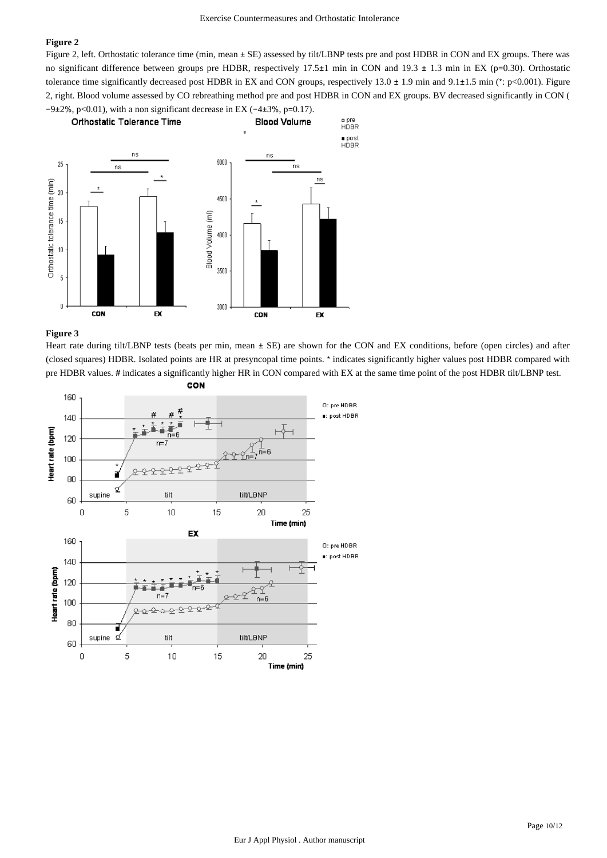Figure 2, left. Orthostatic tolerance time (min, mean  $\pm$  SE) assessed by tilt/LBNP tests pre and post HDBR in CON and EX groups. There was no significant difference between groups pre HDBR, respectively 17.5±1 min in CON and 19.3 ± 1.3 min in EX (p=0.30). Orthostatic tolerance time significantly decreased post HDBR in EX and CON groups, respectively  $13.0 \pm 1.9$  min and  $9.1 \pm 1.5$  min (\*: p<0.001). Figure 2, right. Blood volume assessed by CO rebreathing method pre and post HDBR in CON and EX groups. BV decreased significantly in CON (  $-9\pm2\%$ , p<0.01), with a non significant decrease in EX ( $-4\pm3\%$ , p=0.17).



### **Figure 3**

Heart rate during tilt/LBNP tests (beats per min, mean  $\pm$  SE) are shown for the CON and EX conditions, before (open circles) and after (closed squares) HDBR. Isolated points are HR at presyncopal time points. \* indicates significantly higher values post HDBR compared with pre HDBR values. # indicates a significantly higher HR in CON compared with EX at the same time point of the post HDBR tilt/LBNP test.

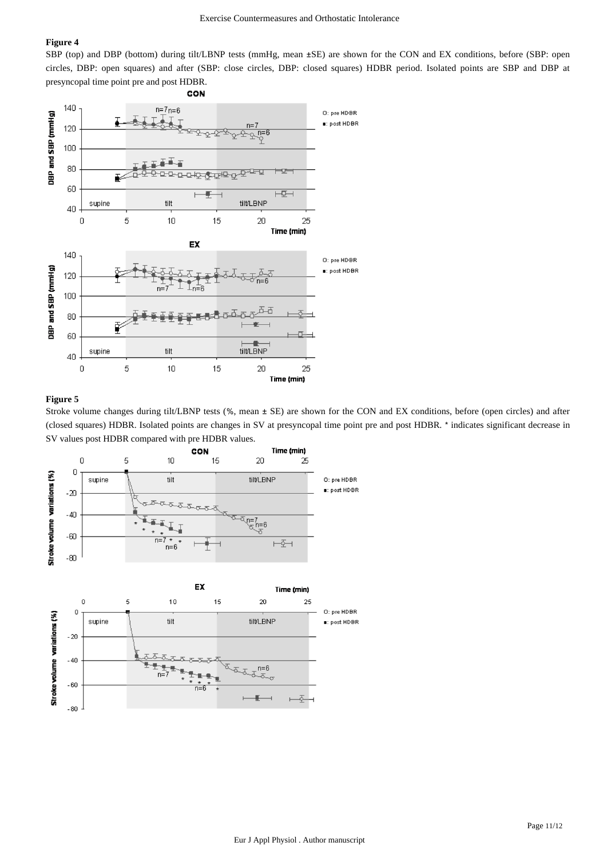SBP (top) and DBP (bottom) during tilt/LBNP tests (mmHg, mean ±SE) are shown for the CON and EX conditions, before (SBP: open circles, DBP: open squares) and after (SBP: close circles, DBP: closed squares) HDBR period. Isolated points are SBP and DBP at presyncopal time point pre and post HDBR.



## **Figure 5**

Stroke volume changes during tilt/LBNP tests (%, mean ± SE) are shown for the CON and EX conditions, before (open circles) and after (closed squares) HDBR. Isolated points are changes in SV at presyncopal time point pre and post HDBR. \* indicates significant decrease in SV values post HDBR compared with pre HDBR values.